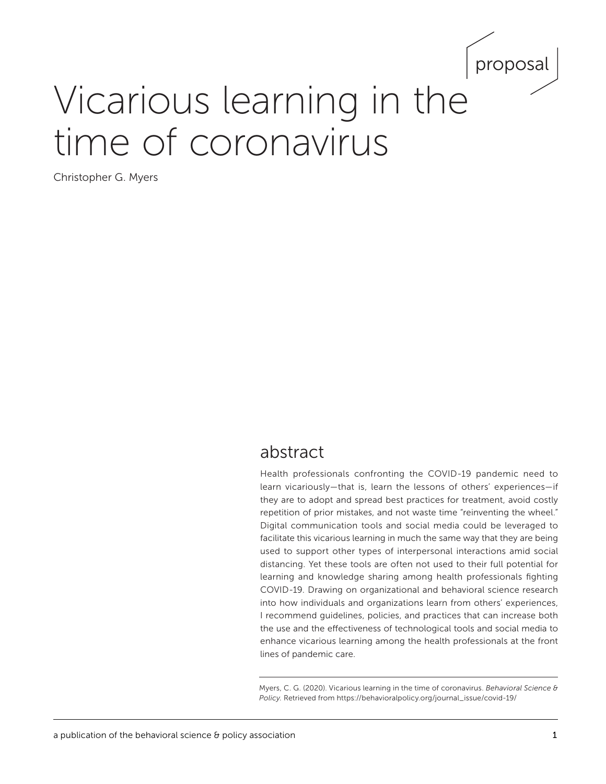

# Vicarious learning in the time of coronavirus

Christopher G. Myers

# abstract

Health professionals confronting the COVID-19 pandemic need to learn vicariously—that is, learn the lessons of others' experiences—if they are to adopt and spread best practices for treatment, avoid costly repetition of prior mistakes, and not waste time "reinventing the wheel." Digital communication tools and social media could be leveraged to facilitate this vicarious learning in much the same way that they are being used to support other types of interpersonal interactions amid social distancing. Yet these tools are often not used to their full potential for learning and knowledge sharing among health professionals fighting COVID-19. Drawing on organizational and behavioral science research into how individuals and organizations learn from others' experiences, I recommend guidelines, policies, and practices that can increase both the use and the effectiveness of technological tools and social media to enhance vicarious learning among the health professionals at the front lines of pandemic care.

Myers, C. G. (2020). Vicarious learning in the time of coronavirus. *Behavioral Science & Policy.* Retrieved from [https://behavioralpolicy.org/journal\\_issue/covid-19/](https://behavioralpolicy.org/journal_issue/covid-19/)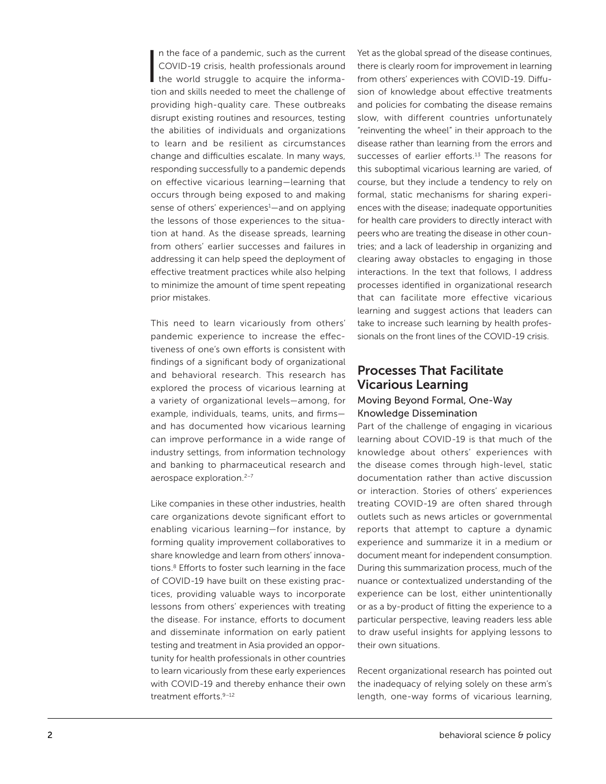In the face of a pandemic, such as the current<br>COVID-19 crisis, health professionals around<br>the world struggle to acquire the informan the face of a pandemic, such as the current COVID-19 crisis, health professionals around tion and skills needed to meet the challenge of providing high-quality care. These outbreaks disrupt existing routines and resources, testing the abilities of individuals and organizations to learn and be resilient as circumstances change and difficulties escalate. In many ways, responding successfully to a pandemic depends on effective vicarious learning—learning that occurs through being exposed to and making sense of others' experiences<sup>1</sup>—and on applying the lessons of those experiences to the situation at hand. As the disease spreads, learning from others' earlier successes and failures in addressing it can help speed the deployment of effective treatment practices while also helping to minimize the amount of time spent repeating prior mistakes.

This need to learn vicariously from others' pandemic experience to increase the effectiveness of one's own efforts is consistent with findings of a significant body of organizational and behavioral research. This research has explored the process of vicarious learning at a variety of organizational levels—among, for example, individuals, teams, units, and firms and has documented how vicarious learning can improve performance in a wide range of industry settings, from information technology and banking to pharmaceutical research and aerospace exploration.<sup>2-7</sup>

Like companies in these other industries, health care organizations devote significant effort to enabling vicarious learning—for instance, by forming quality improvement collaboratives to share knowledge and learn from others' innovations.<sup>8</sup> Efforts to foster such learning in the face of COVID-19 have built on these existing practices, providing valuable ways to incorporate lessons from others' experiences with treating the disease. For instance, efforts to document and disseminate information on early patient testing and treatment in Asia provided an opportunity for health professionals in other countries to learn vicariously from these early experiences with COVID-19 and thereby enhance their own treatment efforts.9–12

Yet as the global spread of the disease continues, there is clearly room for improvement in learning from others' experiences with COVID-19. Diffusion of knowledge about effective treatments and policies for combating the disease remains slow, with different countries unfortunately "reinventing the wheel" in their approach to the disease rather than learning from the errors and successes of earlier efforts.<sup>13</sup> The reasons for this suboptimal vicarious learning are varied, of course, but they include a tendency to rely on formal, static mechanisms for sharing experiences with the disease; inadequate opportunities for health care providers to directly interact with peers who are treating the disease in other countries; and a lack of leadership in organizing and clearing away obstacles to engaging in those interactions. In the text that follows, I address processes identified in organizational research that can facilitate more effective vicarious learning and suggest actions that leaders can take to increase such learning by health professionals on the front lines of the COVID-19 crisis.

## Processes That Facilitate Vicarious Learning Moving Beyond Formal, One-Way

# Knowledge Dissemination

Part of the challenge of engaging in vicarious learning about COVID-19 is that much of the knowledge about others' experiences with the disease comes through high-level, static documentation rather than active discussion or interaction. Stories of others' experiences treating COVID-19 are often shared through outlets such as news articles or governmental reports that attempt to capture a dynamic experience and summarize it in a medium or document meant for independent consumption. During this summarization process, much of the nuance or contextualized understanding of the experience can be lost, either unintentionally or as a by-product of fitting the experience to a particular perspective, leaving readers less able to draw useful insights for applying lessons to their own situations.

Recent organizational research has pointed out the inadequacy of relying solely on these arm's length, one-way forms of vicarious learning,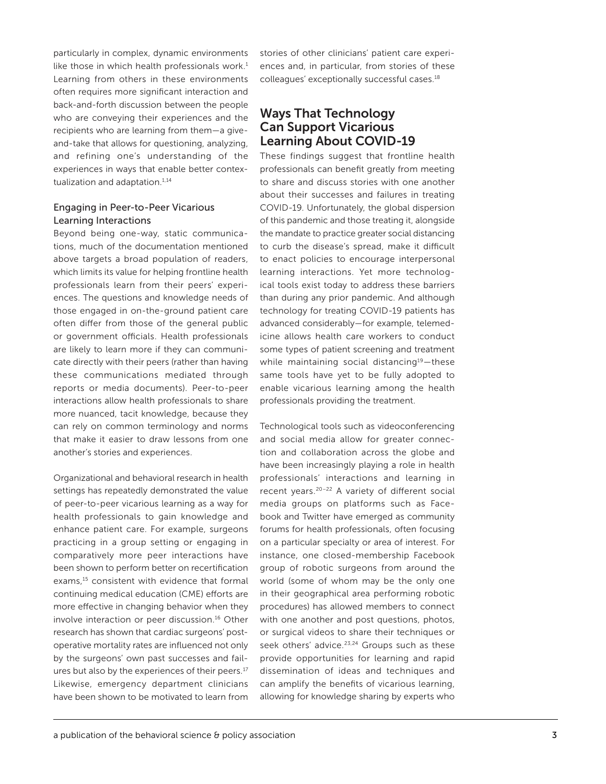particularly in complex, dynamic environments like those in which health professionals work.<sup>1</sup> Learning from others in these environments often requires more significant interaction and back-and-forth discussion between the people who are conveying their experiences and the recipients who are learning from them—a giveand-take that allows for questioning, analyzing, and refining one's understanding of the experiences in ways that enable better contextualization and adaptation.<sup>1,14</sup>

#### Engaging in Peer-to-Peer Vicarious Learning Interactions

Beyond being one-way, static communications, much of the documentation mentioned above targets a broad population of readers, which limits its value for helping frontline health professionals learn from their peers' experiences. The questions and knowledge needs of those engaged in on-the-ground patient care often differ from those of the general public or government officials. Health professionals are likely to learn more if they can communicate directly with their peers (rather than having these communications mediated through reports or media documents). Peer-to-peer interactions allow health professionals to share more nuanced, tacit knowledge, because they can rely on common terminology and norms that make it easier to draw lessons from one another's stories and experiences.

Organizational and behavioral research in health settings has repeatedly demonstrated the value of peer-to-peer vicarious learning as a way for health professionals to gain knowledge and enhance patient care. For example, surgeons practicing in a group setting or engaging in comparatively more peer interactions have been shown to perform better on recertification exams,<sup>15</sup> consistent with evidence that formal continuing medical education (CME) efforts are more effective in changing behavior when they involve interaction or peer discussion.16 Other research has shown that cardiac surgeons' postoperative mortality rates are influenced not only by the surgeons' own past successes and failures but also by the experiences of their peers.<sup>17</sup> Likewise, emergency department clinicians have been shown to be motivated to learn from stories of other clinicians' patient care experiences and, in particular, from stories of these colleagues' exceptionally successful cases.18

# Ways That Technology Can Support Vicarious Learning About COVID-19

These findings suggest that frontline health professionals can benefit greatly from meeting to share and discuss stories with one another about their successes and failures in treating COVID-19. Unfortunately, the global dispersion of this pandemic and those treating it, alongside the mandate to practice greater social distancing to curb the disease's spread, make it difficult to enact policies to encourage interpersonal learning interactions. Yet more technological tools exist today to address these barriers than during any prior pandemic. And although technology for treating COVID-19 patients has advanced considerably—for example, telemedicine allows health care workers to conduct some types of patient screening and treatment while maintaining social distancing $19$ -these same tools have yet to be fully adopted to enable vicarious learning among the health professionals providing the treatment.

Technological tools such as videoconferencing and social media allow for greater connection and collaboration across the globe and have been increasingly playing a role in health professionals' interactions and learning in recent years.20–22 A variety of different social media groups on platforms such as Facebook and Twitter have emerged as community forums for health professionals, often focusing on a particular specialty or area of interest. For instance, one closed-membership Facebook group of robotic surgeons from around the world (some of whom may be the only one in their geographical area performing robotic procedures) has allowed members to connect with one another and post questions, photos, or surgical videos to share their techniques or seek others' advice.<sup>23,24</sup> Groups such as these provide opportunities for learning and rapid dissemination of ideas and techniques and can amplify the benefits of vicarious learning, allowing for knowledge sharing by experts who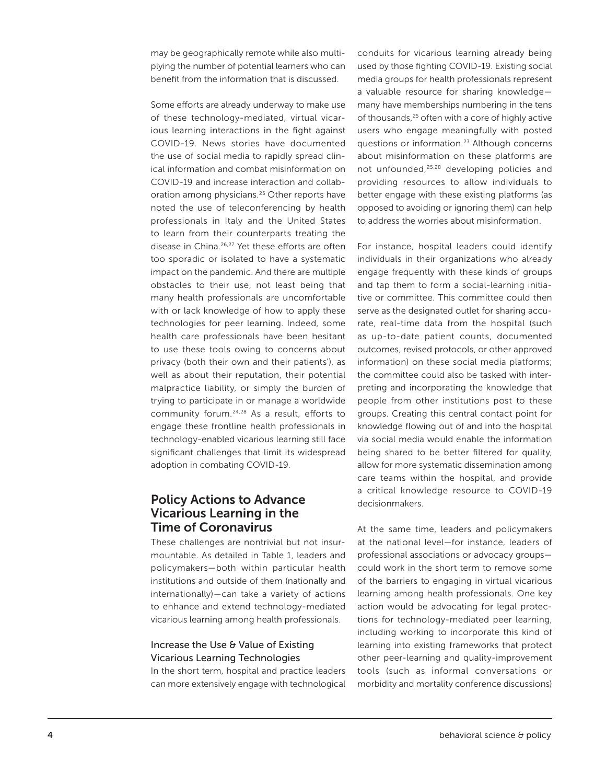may be geographically remote while also multiplying the number of potential learners who can benefit from the information that is discussed.

Some efforts are already underway to make use of these technology-mediated, virtual vicarious learning interactions in the fight against COVID-19. News stories have documented the use of social media to rapidly spread clinical information and combat misinformation on COVID-19 and increase interaction and collaboration among physicians.<sup>25</sup> Other reports have noted the use of teleconferencing by health professionals in Italy and the United States to learn from their counterparts treating the disease in China.26,27 Yet these efforts are often too sporadic or isolated to have a systematic impact on the pandemic. And there are multiple obstacles to their use, not least being that many health professionals are uncomfortable with or lack knowledge of how to apply these technologies for peer learning. Indeed, some health care professionals have been hesitant to use these tools owing to concerns about privacy (both their own and their patients'), as well as about their reputation, their potential malpractice liability, or simply the burden of trying to participate in or manage a worldwide community forum.24,28 As a result, efforts to engage these frontline health professionals in technology-enabled vicarious learning still face significant challenges that limit its widespread adoption in combating COVID-19.

### Policy Actions to Advance Vicarious Learning in the Time of Coronavirus

These challenges are nontrivial but not insurmountable. As detailed in Table 1, leaders and policymakers—both within particular health institutions and outside of them (nationally and internationally)—can take a variety of actions to enhance and extend technology-mediated vicarious learning among health professionals.

#### Increase the Use & Value of Existing Vicarious Learning Technologies

In the short term, hospital and practice leaders can more extensively engage with technological conduits for vicarious learning already being used by those fighting COVID-19. Existing social media groups for health professionals represent a valuable resource for sharing knowledge many have memberships numbering in the tens of thousands,<sup>25</sup> often with a core of highly active users who engage meaningfully with posted questions or information.23 Although concerns about misinformation on these platforms are not unfounded,25,28 developing policies and providing resources to allow individuals to better engage with these existing platforms (as opposed to avoiding or ignoring them) can help to address the worries about misinformation.

For instance, hospital leaders could identify individuals in their organizations who already engage frequently with these kinds of groups and tap them to form a social-learning initiative or committee. This committee could then serve as the designated outlet for sharing accurate, real-time data from the hospital (such as up-to-date patient counts, documented outcomes, revised protocols, or other approved information) on these social media platforms; the committee could also be tasked with interpreting and incorporating the knowledge that people from other institutions post to these groups. Creating this central contact point for knowledge flowing out of and into the hospital via social media would enable the information being shared to be better filtered for quality, allow for more systematic dissemination among care teams within the hospital, and provide a critical knowledge resource to COVID-19 decisionmakers.

At the same time, leaders and policymakers at the national level—for instance, leaders of professional associations or advocacy groups could work in the short term to remove some of the barriers to engaging in virtual vicarious learning among health professionals. One key action would be advocating for legal protections for technology-mediated peer learning, including working to incorporate this kind of learning into existing frameworks that protect other peer-learning and quality-improvement tools (such as informal conversations or morbidity and mortality conference discussions)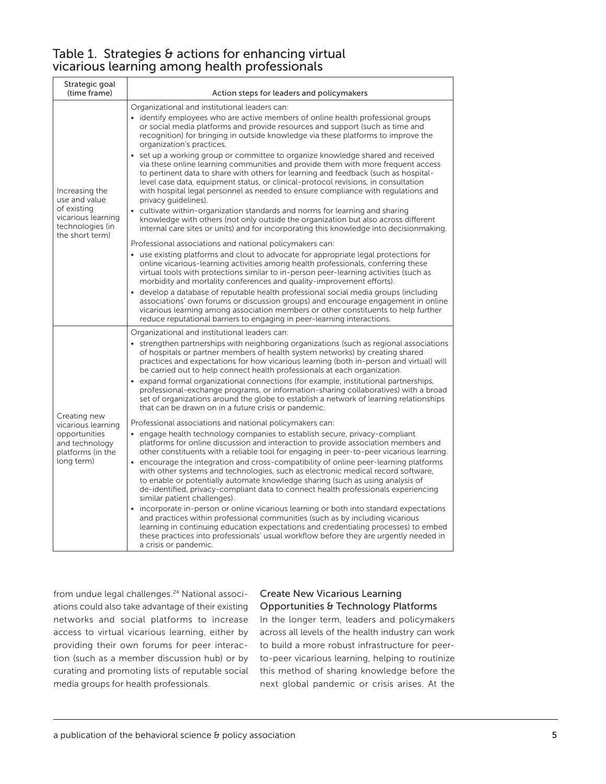# Table 1. Strategies & actions for enhancing virtual vicarious learning among health professionals

| Strategic goal<br>(time frame)                                                                              | Action steps for leaders and policymakers                                                                                                                                                                                                                                                                                                                                                                                                                                                                                                                                                                                                                                                                                                                                                                                                                                                                                                                                                                                                                                                                                                                                                                                                                                                                                                                                                                                                                                                                                                                                                                                                                                                                                                                                                                                               |
|-------------------------------------------------------------------------------------------------------------|-----------------------------------------------------------------------------------------------------------------------------------------------------------------------------------------------------------------------------------------------------------------------------------------------------------------------------------------------------------------------------------------------------------------------------------------------------------------------------------------------------------------------------------------------------------------------------------------------------------------------------------------------------------------------------------------------------------------------------------------------------------------------------------------------------------------------------------------------------------------------------------------------------------------------------------------------------------------------------------------------------------------------------------------------------------------------------------------------------------------------------------------------------------------------------------------------------------------------------------------------------------------------------------------------------------------------------------------------------------------------------------------------------------------------------------------------------------------------------------------------------------------------------------------------------------------------------------------------------------------------------------------------------------------------------------------------------------------------------------------------------------------------------------------------------------------------------------------|
| Increasing the<br>use and value<br>of existing<br>vicarious learning<br>technologies (in<br>the short term) | Organizational and institutional leaders can:                                                                                                                                                                                                                                                                                                                                                                                                                                                                                                                                                                                                                                                                                                                                                                                                                                                                                                                                                                                                                                                                                                                                                                                                                                                                                                                                                                                                                                                                                                                                                                                                                                                                                                                                                                                           |
|                                                                                                             | • identify employees who are active members of online health professional groups<br>or social media platforms and provide resources and support (such as time and<br>recognition) for bringing in outside knowledge via these platforms to improve the<br>organization's practices.                                                                                                                                                                                                                                                                                                                                                                                                                                                                                                                                                                                                                                                                                                                                                                                                                                                                                                                                                                                                                                                                                                                                                                                                                                                                                                                                                                                                                                                                                                                                                     |
|                                                                                                             | set up a working group or committee to organize knowledge shared and received<br>via these online learning communities and provide them with more frequent access<br>to pertinent data to share with others for learning and feedback (such as hospital-<br>level case data, equipment status, or clinical-protocol revisions, in consultation<br>with hospital legal personnel as needed to ensure compliance with regulations and<br>privacy quidelines).                                                                                                                                                                                                                                                                                                                                                                                                                                                                                                                                                                                                                                                                                                                                                                                                                                                                                                                                                                                                                                                                                                                                                                                                                                                                                                                                                                             |
|                                                                                                             | • cultivate within-organization standards and norms for learning and sharing<br>knowledge with others (not only outside the organization but also across different<br>internal care sites or units) and for incorporating this knowledge into decision making.                                                                                                                                                                                                                                                                                                                                                                                                                                                                                                                                                                                                                                                                                                                                                                                                                                                                                                                                                                                                                                                                                                                                                                                                                                                                                                                                                                                                                                                                                                                                                                          |
|                                                                                                             | Professional associations and national policymakers can:<br>• use existing platforms and clout to advocate for appropriate legal protections for<br>online vicarious-learning activities among health professionals, conferring these<br>virtual tools with protections similar to in-person peer-learning activities (such as<br>morbidity and mortality conferences and quality-improvement efforts).<br>develop a database of reputable health professional social media groups (including<br>$\bullet$<br>associations' own forums or discussion groups) and encourage engagement in online<br>vicarious learning among association members or other constituents to help further<br>reduce reputational barriers to engaging in peer-learning interactions.                                                                                                                                                                                                                                                                                                                                                                                                                                                                                                                                                                                                                                                                                                                                                                                                                                                                                                                                                                                                                                                                        |
| Creating new<br>vicarious learning<br>opportunities<br>and technology<br>platforms (in the<br>long term)    | Organizational and institutional leaders can:<br>strengthen partnerships with neighboring organizations (such as regional associations<br>of hospitals or partner members of health system networks) by creating shared<br>practices and expectations for how vicarious learning (both in-person and virtual) will<br>be carried out to help connect health professionals at each organization.<br>• expand formal organizational connections (for example, institutional partnerships,<br>professional-exchange programs, or information-sharing collaboratives) with a broad<br>set of organizations around the globe to establish a network of learning relationships<br>that can be drawn on in a future crisis or pandemic.<br>Professional associations and national policymakers can:<br>• engage health technology companies to establish secure, privacy-compliant<br>platforms for online discussion and interaction to provide association members and<br>other constituents with a reliable tool for engaging in peer-to-peer vicarious learning.<br>• encourage the integration and cross-compatibility of online peer-learning platforms<br>with other systems and technologies, such as electronic medical record software,<br>to enable or potentially automate knowledge sharing (such as using analysis of<br>de-identified, privacy-compliant data to connect health professionals experiencing<br>similar patient challenges).<br>• incorporate in-person or online vicarious learning or both into standard expectations<br>and practices within professional communities (such as by including vicarious<br>learning in continuing education expectations and credentialing processes) to embed<br>these practices into professionals' usual workflow before they are urgently needed in<br>a crisis or pandemic. |

from undue legal challenges.<sup>24</sup> National associations could also take advantage of their existing networks and social platforms to increase access to virtual vicarious learning, either by providing their own forums for peer interaction (such as a member discussion hub) or by curating and promoting lists of reputable social media groups for health professionals.

#### Create New Vicarious Learning Opportunities & Technology Platforms

In the longer term, leaders and policymakers across all levels of the health industry can work to build a more robust infrastructure for peerto-peer vicarious learning, helping to routinize this method of sharing knowledge before the next global pandemic or crisis arises. At the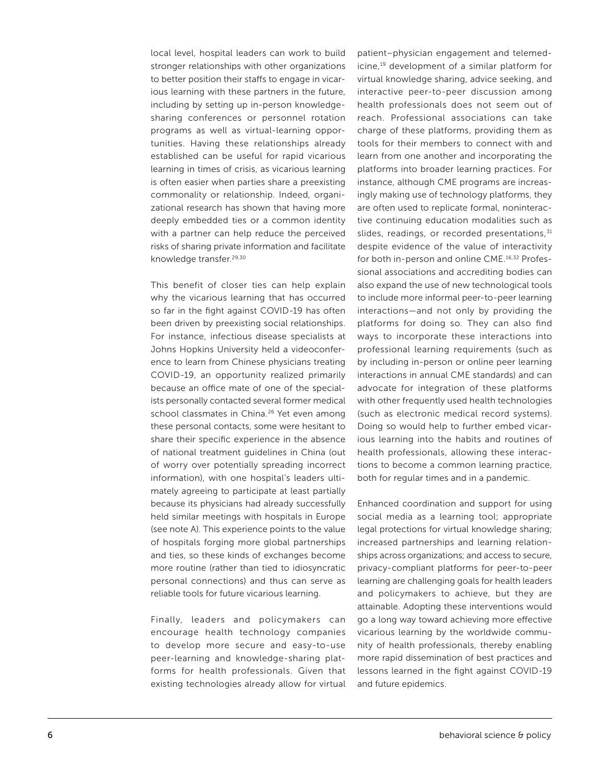local level, hospital leaders can work to build stronger relationships with other organizations to better position their staffs to engage in vicarious learning with these partners in the future, including by setting up in-person knowledgesharing conferences or personnel rotation programs as well as virtual-learning opportunities. Having these relationships already established can be useful for rapid vicarious learning in times of crisis, as vicarious learning is often easier when parties share a preexisting commonality or relationship. Indeed, organizational research has shown that having more deeply embedded ties or a common identity with a partner can help reduce the perceived risks of sharing private information and facilitate knowledge transfer.29,30

This benefit of closer ties can help explain why the vicarious learning that has occurred so far in the fight against COVID-19 has often been driven by preexisting social relationships. For instance, infectious disease specialists at Johns Hopkins University held a videoconference to learn from Chinese physicians treating COVID-19, an opportunity realized primarily because an office mate of one of the specialists personally contacted several former medical school classmates in China.<sup>26</sup> Yet even among these personal contacts, some were hesitant to share their specific experience in the absence of national treatment guidelines in China (out of worry over potentially spreading incorrect information), with one hospital's leaders ultimately agreeing to participate at least partially because its physicians had already successfully held similar meetings with hospitals in Europe (see note A). This experience points to the value of hospitals forging more global partnerships and ties, so these kinds of exchanges become more routine (rather than tied to idiosyncratic personal connections) and thus can serve as reliable tools for future vicarious learning.

Finally, leaders and policymakers can encourage health technology companies to develop more secure and easy-to-use peer-learning and knowledge-sharing platforms for health professionals. Given that existing technologies already allow for virtual patient–physician engagement and telemedicine,19 development of a similar platform for virtual knowledge sharing, advice seeking, and interactive peer-to-peer discussion among health professionals does not seem out of reach. Professional associations can take charge of these platforms, providing them as tools for their members to connect with and learn from one another and incorporating the platforms into broader learning practices. For instance, although CME programs are increasingly making use of technology platforms, they are often used to replicate formal, noninteractive continuing education modalities such as slides, readings, or recorded presentations, 31 despite evidence of the value of interactivity for both in-person and online CME.16,32 Professional associations and accrediting bodies can also expand the use of new technological tools to include more informal peer-to-peer learning interactions—and not only by providing the platforms for doing so. They can also find ways to incorporate these interactions into professional learning requirements (such as by including in-person or online peer learning interactions in annual CME standards) and can advocate for integration of these platforms with other frequently used health technologies (such as electronic medical record systems). Doing so would help to further embed vicarious learning into the habits and routines of health professionals, allowing these interactions to become a common learning practice, both for regular times and in a pandemic.

Enhanced coordination and support for using social media as a learning tool; appropriate legal protections for virtual knowledge sharing; increased partnerships and learning relationships across organizations; and access to secure, privacy-compliant platforms for peer-to-peer learning are challenging goals for health leaders and policymakers to achieve, but they are attainable. Adopting these interventions would go a long way toward achieving more effective vicarious learning by the worldwide community of health professionals, thereby enabling more rapid dissemination of best practices and lessons learned in the fight against COVID-19 and future epidemics.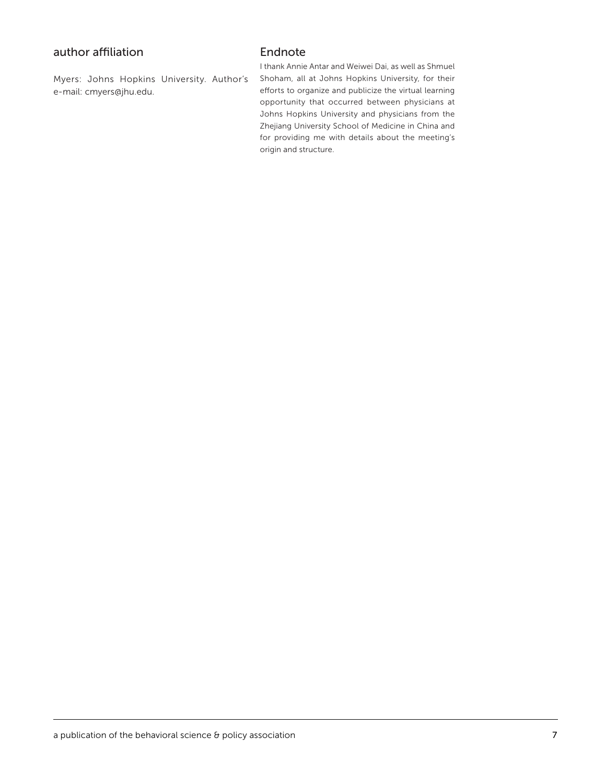# author affiliation

Myers: Johns Hopkins University. Author's e-mail: cmyers@jhu.edu.

## Endnote

I thank Annie Antar and Weiwei Dai, as well as Shmuel Shoham, all at Johns Hopkins University, for their efforts to organize and publicize the virtual learning opportunity that occurred between physicians at Johns Hopkins University and physicians from the Zhejiang University School of Medicine in China and for providing me with details about the meeting's origin and structure.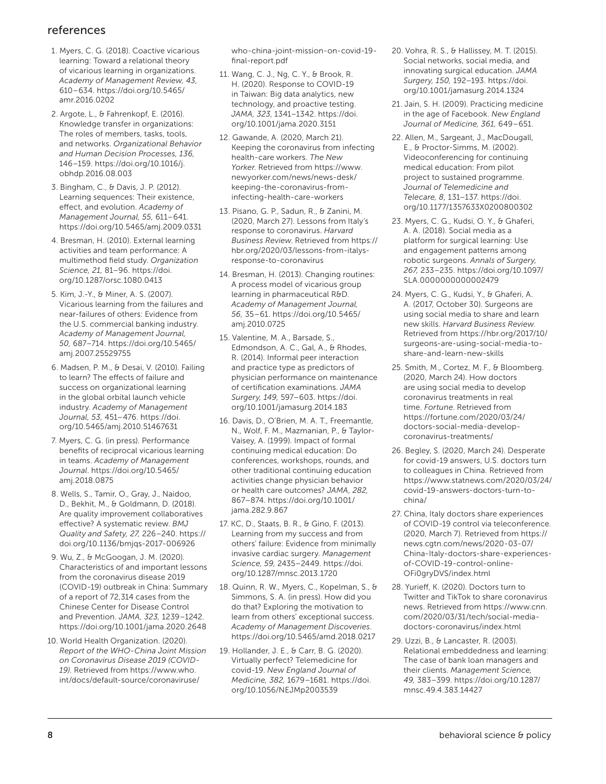# references

- 1. Myers, C. G. (2018). Coactive vicarious learning: Toward a relational theory of vicarious learning in organizations. *Academy of Management Review, 43,* 610–634. [https://doi.org/10.5465/](https://doi.org/10.5465/amr.2016.0202) [amr.2016.0202](https://doi.org/10.5465/amr.2016.0202)
- 2. Argote, L., & Fahrenkopf, E. (2016). Knowledge transfer in organizations: The roles of members, tasks, tools, and networks. *Organizational Behavior and Human Decision Processes, 136,* 146–159. [https://doi.org/10.1016/j.](https://doi.org/10.1016/j.obhdp.2016.08.003) [obhdp.2016.08.003](https://doi.org/10.1016/j.obhdp.2016.08.003)
- 3. Bingham, C., & Davis, J. P. (2012). Learning sequences: Their existence, effect, and evolution. *Academy of Management Journal, 55,* 611–641. <https://doi.org/10.5465/amj.2009.0331>
- 4. Bresman, H. (2010). External learning activities and team performance: A multimethod field study. *Organization Science, 21,* 81–96. [https://doi.](https://doi.org/10.1287/orsc.1080.0413) [org/10.1287/orsc.1080.0413](https://doi.org/10.1287/orsc.1080.0413)
- 5. Kim, J.-Y., & Miner, A. S. (2007). Vicarious learning from the failures and near-failures of others: Evidence from the U.S. commercial banking industry. *Academy of Management Journal, 50,* 687–714. [https://doi.org/10.5465/](https://doi.org/10.5465/amj.2007.25529755) [amj.2007.25529755](https://doi.org/10.5465/amj.2007.25529755)
- 6. Madsen, P. M., & Desai, V. (2010). Failing to learn? The effects of failure and success on organizational learning in the global orbital launch vehicle industry. *Academy of Management Journal, 53,* 451–476. [https://doi.](https://doi.org/10.5465/amj.2010.51467631) [org/10.5465/amj.2010.51467631](https://doi.org/10.5465/amj.2010.51467631)
- 7. Myers, C. G. (in press). Performance benefits of reciprocal vicarious learning in teams. *Academy of Management Journal*. [https://doi.org/10.5465/](https://doi.org/10.5465/amj.2018.0875) [amj.2018.0875](https://doi.org/10.5465/amj.2018.0875)
- 8. Wells, S., Tamir, O., Gray, J., Naidoo, D., Bekhit, M., & Goldmann, D. (2018). Are quality improvement collaboratives effective? A systematic review. *BMJ Quality and Safety, 27,* 226–240. https:// doi.org/10.1136/bmjqs-2017-006926
- 9. Wu, Z., & McGoogan, J. M. (2020). Characteristics of and important lessons from the coronavirus disease 2019 (COVID-19) outbreak in China: Summary of a report of 72,314 cases from the Chinese Center for Disease Control and Prevention. *JAMA, 323,* 1239–1242. https://doi.org/10.1001/jama.2020.2648
- 10. World Health Organization. (2020). *Report of the WHO-China Joint Mission on Coronavirus Disease 2019 (COVID-19)*. Retrieved from [https://www.who.](https://www.who.int/docs/default-source/coronaviruse/who-china-joint-mission-on-covid-19-final-report.pdf) [int/docs/default-source/coronaviruse/](https://www.who.int/docs/default-source/coronaviruse/who-china-joint-mission-on-covid-19-final-report.pdf)

[who-china-joint-mission-on-covid-19](https://www.who.int/docs/default-source/coronaviruse/who-china-joint-mission-on-covid-19-final-report.pdf) [final-report.pdf](https://www.who.int/docs/default-source/coronaviruse/who-china-joint-mission-on-covid-19-final-report.pdf)

- 11. Wang, C. J., Ng, C. Y., & Brook, R. H. (2020). Response to COVID-19 in Taiwan: Big data analytics, new technology, and proactive testing. *JAMA, 323*, 1341–1342. [https://doi.](https://doi.org/10.1001/jama.2020.3151) [org/10.1001/jama.2020.3151](https://doi.org/10.1001/jama.2020.3151)
- 12. Gawande, A. (2020, March 21). Keeping the coronavirus from infecting health-care workers. *The New Yorker*. Retrieved from [https://www.](https://www.newyorker.com/news/news-desk/keeping-the-coronavirus-from-infecting-health-care-workers) [newyorker.com/news/news-desk/](https://www.newyorker.com/news/news-desk/keeping-the-coronavirus-from-infecting-health-care-workers) [keeping-the-coronavirus-from](https://www.newyorker.com/news/news-desk/keeping-the-coronavirus-from-infecting-health-care-workers)[infecting-health-care-workers](https://www.newyorker.com/news/news-desk/keeping-the-coronavirus-from-infecting-health-care-workers)
- 13. Pisano, G. P., Sadun, R., & Zanini, M. (2020, March 27). Lessons from Italy's response to coronavirus. *Harvard Business Review*. Retrieved from [https://](https://hbr.org/2020/03/lessons-from-italys-response-to-coronavirus) [hbr.org/2020/03/lessons-from-italys](https://hbr.org/2020/03/lessons-from-italys-response-to-coronavirus)[response-to-coronavirus](https://hbr.org/2020/03/lessons-from-italys-response-to-coronavirus)
- 14. Bresman, H. (2013). Changing routines: A process model of vicarious group learning in pharmaceutical R&D. *Academy of Management Journal, 56,* 35–61. [https://doi.org/10.5465/](https://doi.org/10.5465/amj.2010.0725) [amj.2010.0725](https://doi.org/10.5465/amj.2010.0725)
- 15. Valentine, M. A., Barsade, S., Edmondson, A. C., Gal, A., & Rhodes, R. (2014). Informal peer interaction and practice type as predictors of physician performance on maintenance of certification examinations. *JAMA Surgery, 149,* 597–603. [https://doi.](https://doi.org/10.1001/jamasurg.2014.183) [org/10.1001/jamasurg.2014.183](https://doi.org/10.1001/jamasurg.2014.183)
- 16. Davis, D., O'Brien, M. A. T., Freemantle, N., Wolf, F. M., Mazmanian, P., & Taylor-Vaisey, A. (1999). Impact of formal continuing medical education: Do conferences, workshops, rounds, and other traditional continuing education activities change physician behavior or health care outcomes? *JAMA, 282,* 867–874. [https://doi.org/10.1001/](https://doi.org/10.1001/jama.282.9.867) [jama.282.9.867](https://doi.org/10.1001/jama.282.9.867)
- 17. KC, D., Staats, B. R., & Gino, F. (2013). Learning from my success and from others' failure: Evidence from minimally invasive cardiac surgery. *Management Science, 59,* 2435–2449. [https://doi.](https://doi.org/10.1287/mnsc.2013.1720) [org/10.1287/mnsc.2013.1720](https://doi.org/10.1287/mnsc.2013.1720)
- 18. Quinn, R. W., Myers, C., Kopelman, S., & Simmons, S. A. (in press). How did you do that? Exploring the motivation to learn from others' exceptional success. *Academy of Management Discoveries*. <https://doi.org/10.5465/amd.2018.0217>
- 19. Hollander, J. E., & Carr, B. G. (2020). Virtually perfect? Telemedicine for covid-19. *New England Journal of Medicine, 382,* 1679–1681. [https://doi.](https://doi.org/10.1056/NEJMp2003539) [org/10.1056/NEJMp2003539](https://doi.org/10.1056/NEJMp2003539)
- 20. Vohra, R. S., & Hallissey, M. T. (2015). Social networks, social media, and innovating surgical education. *JAMA Surgery, 150,* 192–193. https://doi. org/10.1001/jamasurg.2014.1324
- 21. Jain, S. H. (2009). Practicing medicine in the age of Facebook. *New England Journal of Medicine, 361,* 649–651.
- 22. Allen, M., Sargeant, J., MacDougall, E., & Proctor-Simms, M. (2002). Videoconferencing for continuing medical education: From pilot project to sustained programme. *Journal of Telemedicine and Telecare, 8,* 131–137. [https://doi.](https://doi.org/10.1177%2F1357633X0200800302) [org/10.1177/1357633X0200800302](https://doi.org/10.1177%2F1357633X0200800302)
- 23. Myers, C. G., Kudsi, O. Y., & Ghaferi, A. A. (2018). Social media as a platform for surgical learning: Use and engagement patterns among robotic surgeons. *Annals of Surgery, 267,* 233–235. [https://doi.org/10.1097/](https://doi.org/10.1097/SLA.0000000000002479) [SLA.0000000000002479](https://doi.org/10.1097/SLA.0000000000002479)
- 24. Myers, C. G., Kudsi, Y., & Ghaferi, A. A. (2017, October 30). Surgeons are using social media to share and learn new skills. *Harvard Business Review*. Retrieved from [https://hbr.org/2017/10/](https://hbr.org/2017/10/surgeons-are-using-social-media-to-share-and-learn-new-skills) [surgeons-are-using-social-media-to](https://hbr.org/2017/10/surgeons-are-using-social-media-to-share-and-learn-new-skills)[share-and-learn-new-skills](https://hbr.org/2017/10/surgeons-are-using-social-media-to-share-and-learn-new-skills)
- 25. Smith, M., Cortez, M. F., & Bloomberg. (2020, March 24). How doctors are using social media to develop coronavirus treatments in real time. *Fortune*. Retrieved from [https://fortune.com/2020/03/24/](https://fortune.com/2020/03/24/doctors-social-media-develop-coronavirus-treatments/) [doctors-social-media-develop](https://fortune.com/2020/03/24/doctors-social-media-develop-coronavirus-treatments/)[coronavirus-treatments/](https://fortune.com/2020/03/24/doctors-social-media-develop-coronavirus-treatments/)
- 26. Begley, S. (2020, March 24). Desperate for covid-19 answers, U.S. doctors turn to colleagues in China. Retrieved from [https://www.statnews.com/2020/03/24/](https://www.statnews.com/2020/03/24/covid-19-answers-doctors-turn-to-china/) [covid-19-answers-doctors-turn-to](https://www.statnews.com/2020/03/24/covid-19-answers-doctors-turn-to-china/)[china/](https://www.statnews.com/2020/03/24/covid-19-answers-doctors-turn-to-china/)
- 27. China, Italy doctors share experiences of COVID-19 control via teleconference. (2020, March 7). Retrieved from [https://](https://news.cgtn.com/news/2020-03-07/China-Italy-doctors-share-experiences-of-COVID-19-control-online-OFi0gryDVS/index.html) [news.cgtn.com/news/2020-03-07/](https://news.cgtn.com/news/2020-03-07/China-Italy-doctors-share-experiences-of-COVID-19-control-online-OFi0gryDVS/index.html) [China-Italy-doctors-share-experiences](https://news.cgtn.com/news/2020-03-07/China-Italy-doctors-share-experiences-of-COVID-19-control-online-OFi0gryDVS/index.html)[of-COVID-19-control-online-](https://news.cgtn.com/news/2020-03-07/China-Italy-doctors-share-experiences-of-COVID-19-control-online-OFi0gryDVS/index.html)[OFi0gryDVS/index.html](https://news.cgtn.com/news/2020-03-07/China-Italy-doctors-share-experiences-of-COVID-19-control-online-OFi0gryDVS/index.html)
- 28. Yurieff, K. (2020). Doctors turn to Twitter and TikTok to share coronavirus news. Retrieved from [https://www.cnn.](https://www.cnn.com/2020/03/31/tech/social-media-doctors-coronavirus/index.html) [com/2020/03/31/tech/social-media](https://www.cnn.com/2020/03/31/tech/social-media-doctors-coronavirus/index.html)[doctors-coronavirus/index.html](https://www.cnn.com/2020/03/31/tech/social-media-doctors-coronavirus/index.html)
- 29. Uzzi, B., & Lancaster, R. (2003). Relational embeddedness and learning: The case of bank loan managers and their clients. *Management Science, 49,* 383–399. [https://doi.org/10.1287/](https://doi.org/10.1287/mnsc.49.4.383.14427) [mnsc.49.4.383.14427](https://doi.org/10.1287/mnsc.49.4.383.14427)